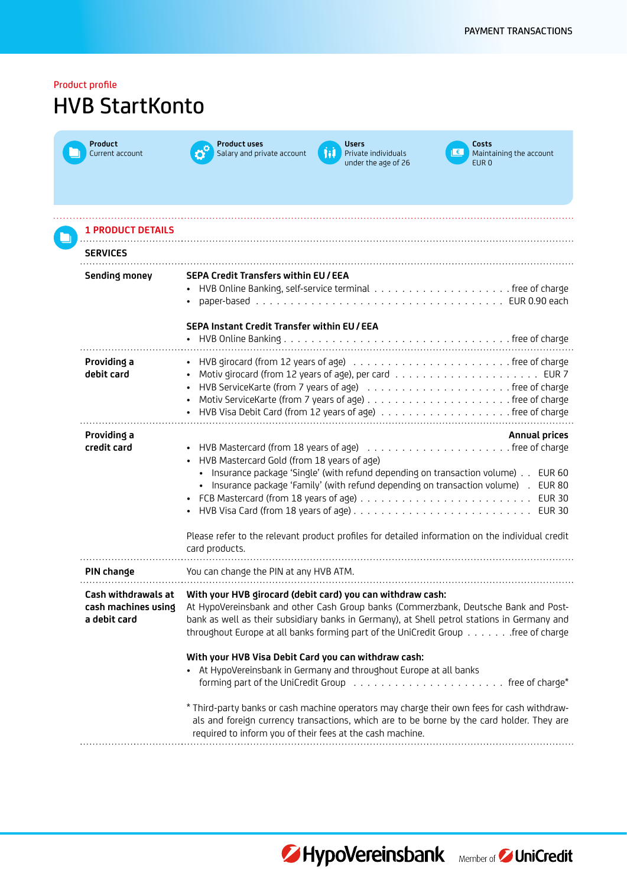| Product profile<br><b>HVB StartKonto</b>                   |                                                                                                                                                                                                                                                                                                                                                                                                         |
|------------------------------------------------------------|---------------------------------------------------------------------------------------------------------------------------------------------------------------------------------------------------------------------------------------------------------------------------------------------------------------------------------------------------------------------------------------------------------|
| Product<br>Current account                                 | <b>Product uses</b><br><b>Users</b><br>Costs<br>hi<br>Private individuals<br>Salary and private account<br>Maintaining the account<br>under the age of 26<br>EUR <sub>0</sub>                                                                                                                                                                                                                           |
| <b>1 PRODUCT DETAILS</b>                                   |                                                                                                                                                                                                                                                                                                                                                                                                         |
| <b>SERVICES</b>                                            |                                                                                                                                                                                                                                                                                                                                                                                                         |
| <b>Sending money</b>                                       | <b>SEPA Credit Transfers within EU/EEA</b><br>SEPA Instant Credit Transfer within EU / EEA                                                                                                                                                                                                                                                                                                              |
| Providing a<br>debit card                                  | • HVB ServiceKarte (from 7 years of age) (all contacts as a service of charge                                                                                                                                                                                                                                                                                                                           |
| Providing a<br>credit card                                 | <b>Annual prices</b><br>HVB Mastercard Gold (from 18 years of age)<br>• Insurance package 'Single' (with refund depending on transaction volume)<br><b>EUR 60</b><br>· Insurance package 'Family' (with refund depending on transaction volume).<br><b>EUR 80</b><br><b>EUR 30</b><br>Please refer to the relevant product profiles for detailed information on the individual credit<br>card products. |
| PIN change                                                 | You can change the PIN at any HVB ATM.                                                                                                                                                                                                                                                                                                                                                                  |
| Cash withdrawals at<br>cash machines using<br>a debit card | With your HVB girocard (debit card) you can withdraw cash:<br>At HypoVereinsbank and other Cash Group banks (Commerzbank, Deutsche Bank and Post-<br>bank as well as their subsidiary banks in Germany), at Shell petrol stations in Germany and<br>throughout Europe at all banks forming part of the UniCredit Group free of charge                                                                   |
|                                                            | With your HVB Visa Debit Card you can withdraw cash:<br>• At HypoVereinsbank in Germany and throughout Europe at all banks<br>* Third-party banks or cash machine operators may charge their own fees for cash withdraw-<br>als and foreign currency transactions, which are to be borne by the card holder. They are<br>required to inform you of their fees at the cash machine.                      |



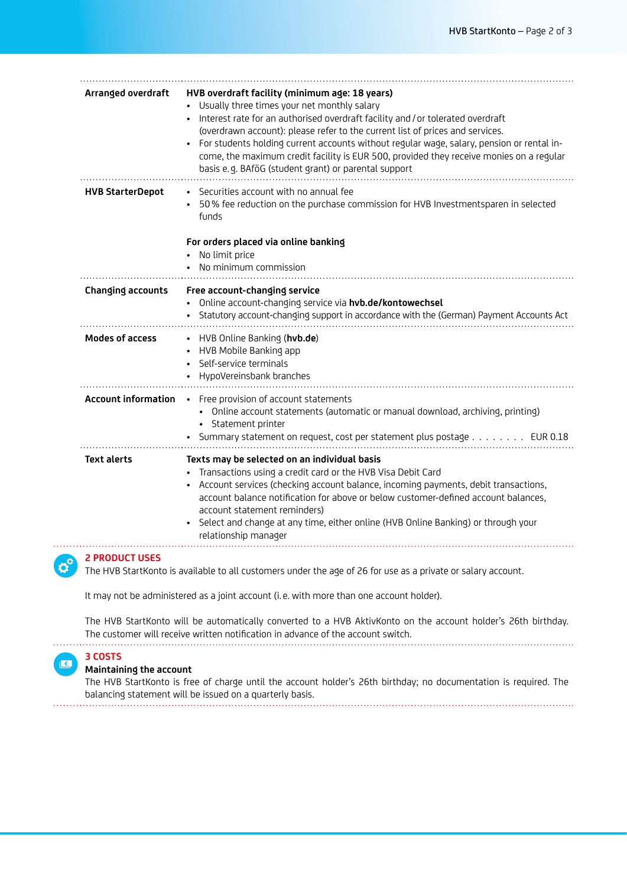| Arranged overdraft         | HVB overdraft facility (minimum age: 18 years)<br>Usually three times your net monthly salary<br>Interest rate for an authorised overdraft facility and / or tolerated overdraft<br>(overdrawn account): please refer to the current list of prices and services.<br>For students holding current accounts without regular wage, salary, pension or rental in-<br>come, the maximum credit facility is EUR 500, provided they receive monies on a regular<br>basis e.g. BAföG (student grant) or parental support |
|----------------------------|-------------------------------------------------------------------------------------------------------------------------------------------------------------------------------------------------------------------------------------------------------------------------------------------------------------------------------------------------------------------------------------------------------------------------------------------------------------------------------------------------------------------|
| <b>HVB StarterDepot</b>    | Securities account with no annual fee<br>50% fee reduction on the purchase commission for HVB Investmentsparen in selected<br>funds<br>For orders placed via online banking<br>No limit price<br>No minimum commission                                                                                                                                                                                                                                                                                            |
| Changing accounts          | Free account-changing service<br>Online account-changing service via hvb.de/kontowechsel<br>Statutory account-changing support in accordance with the (German) Payment Accounts Act                                                                                                                                                                                                                                                                                                                               |
| <b>Modes of access</b>     | HVB Online Banking (hvb.de)<br>HVB Mobile Banking app<br>Self-service terminals<br>HypoVereinsbank branches                                                                                                                                                                                                                                                                                                                                                                                                       |
| <b>Account information</b> | Free provision of account statements<br>$\bullet$<br>Online account statements (automatic or manual download, archiving, printing)<br>$\bullet$<br>Statement printer<br>Summary statement on request, cost per statement plus postage EUR 0.18                                                                                                                                                                                                                                                                    |
| <b>Text alerts</b>         | Texts may be selected on an individual basis<br>Transactions using a credit card or the HVB Visa Debit Card<br>Account services (checking account balance, incoming payments, debit transactions,<br>account balance notification for above or below customer-defined account balances,<br>account statement reminders)<br>Select and change at any time, either online (HVB Online Banking) or through your<br>$\bullet$<br>relationship manager                                                                 |
| <b>2 PRODUCT USES</b>      |                                                                                                                                                                                                                                                                                                                                                                                                                                                                                                                   |

The HVB StartKonto is available to all customers under the age of 26 for use as a private or salary account.

It may not be administered as a joint account (i. e. with more than one account holder).

The HVB StartKonto will be automatically converted to a HVB AktivKonto on the account holder's 26th birthday. The customer will receive written notification in advance of the account switch.



. . . . . . .  $\mathbf{c}^{\circ}$ 

## **Maintaining the account**

The HVB StartKonto is free of charge until the account holder's 26th birthday; no documentation is required. The balancing statement will be issued on a quarterly basis.